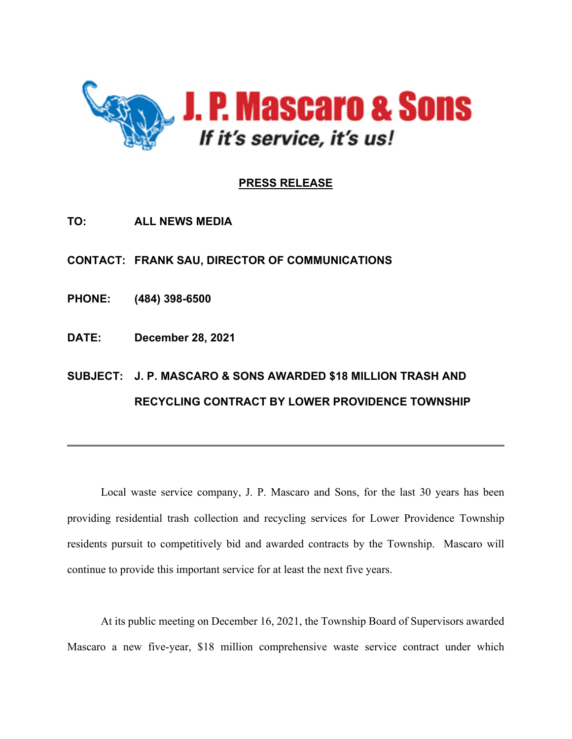

## **PRESS RELEASE**

**TO: ALL NEWS MEDIA**

**CONTACT: FRANK SAU, DIRECTOR OF COMMUNICATIONS**

**PHONE: (484) 398-6500**

**DATE: December 28, 2021**

## **SUBJECT: J. P. MASCARO & SONS AWARDED \$18 MILLION TRASH AND RECYCLING CONTRACT BY LOWER PROVIDENCE TOWNSHIP**

Local waste service company, J. P. Mascaro and Sons, for the last 30 years has been providing residential trash collection and recycling services for Lower Providence Township residents pursuit to competitively bid and awarded contracts by the Township. Mascaro will continue to provide this important service for at least the next five years.

\_\_\_\_\_\_\_\_\_\_\_\_\_\_\_\_\_\_\_\_\_\_\_\_\_\_\_\_\_\_\_\_\_\_\_\_\_\_\_\_\_\_\_\_\_\_\_\_\_\_\_\_\_\_\_\_\_\_\_\_\_\_\_\_\_\_\_\_\_\_\_\_\_\_\_\_\_\_

At its public meeting on December 16, 2021, the Township Board of Supervisors awarded Mascaro a new five-year, \$18 million comprehensive waste service contract under which